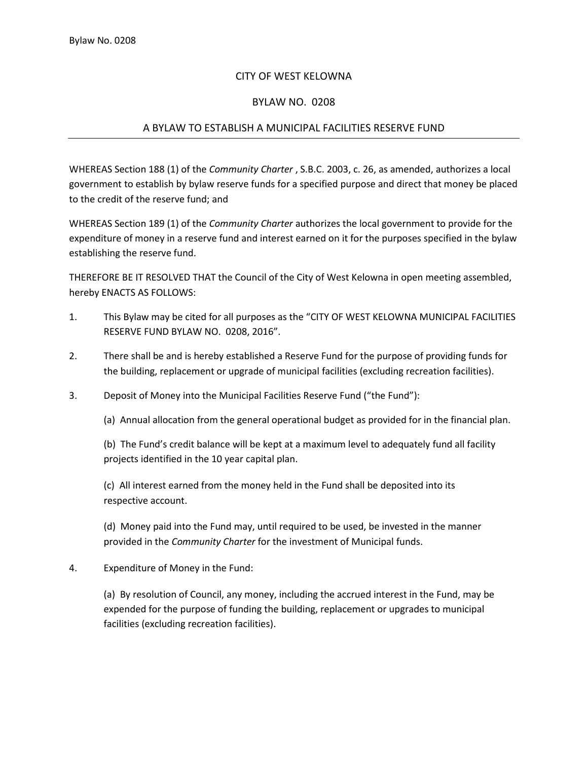## CITY OF WEST KELOWNA

## BYLAW NO. 0208

## A BYLAW TO ESTABLISH A MUNICIPAL FACILITIES RESERVE FUND

WHEREAS Section 188 (1) of the *Community Charter* , S.B.C. 2003, c. 26, as amended, authorizes a local government to establish by bylaw reserve funds for a specified purpose and direct that money be placed to the credit of the reserve fund; and

WHEREAS Section 189 (1) of the *Community Charter* authorizes the local government to provide for the expenditure of money in a reserve fund and interest earned on it for the purposes specified in the bylaw establishing the reserve fund.

THEREFORE BE IT RESOLVED THAT the Council of the City of West Kelowna in open meeting assembled, hereby ENACTS AS FOLLOWS:

- 1. This Bylaw may be cited for all purposes as the "CITY OF WEST KELOWNA MUNICIPAL FACILITIES RESERVE FUND BYLAW NO. 0208, 2016".
- 2. There shall be and is hereby established a Reserve Fund for the purpose of providing funds for the building, replacement or upgrade of municipal facilities (excluding recreation facilities).
- 3. Deposit of Money into the Municipal Facilities Reserve Fund ("the Fund"):

(a) Annual allocation from the general operational budget as provided for in the financial plan.

(b) The Fund's credit balance will be kept at a maximum level to adequately fund all facility projects identified in the 10 year capital plan.

(c) All interest earned from the money held in the Fund shall be deposited into its respective account.

(d) Money paid into the Fund may, until required to be used, be invested in the manner provided in the *Community Charter* for the investment of Municipal funds.

4. Expenditure of Money in the Fund:

(a) By resolution of Council, any money, including the accrued interest in the Fund, may be expended for the purpose of funding the building, replacement or upgrades to municipal facilities (excluding recreation facilities).